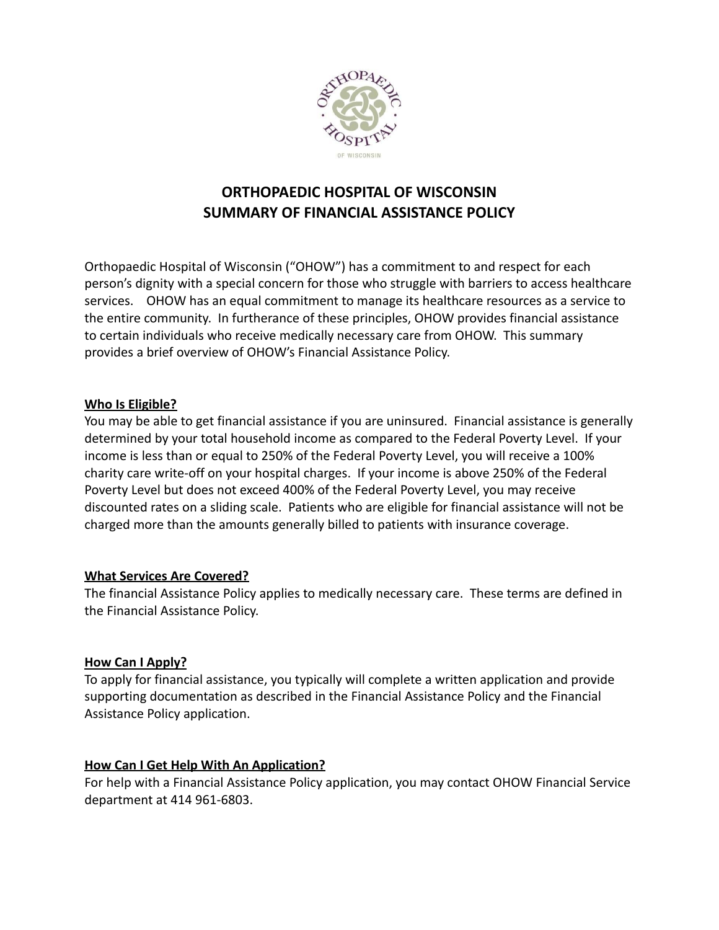

# **ORTHOPAEDIC HOSPITAL OF WISCONSIN SUMMARY OF FINANCIAL ASSISTANCE POLICY**

Orthopaedic Hospital of Wisconsin ("OHOW") has a commitment to and respect for each person's dignity with a special concern for those who struggle with barriers to access healthcare services. OHOW has an equal commitment to manage its healthcare resources as a service to the entire community. In furtherance of these principles, OHOW provides financial assistance to certain individuals who receive medically necessary care from OHOW. This summary provides a brief overview of OHOW's Financial Assistance Policy.

## **Who Is Eligible?**

You may be able to get financial assistance if you are uninsured. Financial assistance is generally determined by your total household income as compared to the Federal Poverty Level. If your income is less than or equal to 250% of the Federal Poverty Level, you will receive a 100% charity care write-off on your hospital charges. If your income is above 250% of the Federal Poverty Level but does not exceed 400% of the Federal Poverty Level, you may receive discounted rates on a sliding scale. Patients who are eligible for financial assistance will not be charged more than the amounts generally billed to patients with insurance coverage.

#### **What Services Are Covered?**

The financial Assistance Policy applies to medically necessary care. These terms are defined in the Financial Assistance Policy.

## **How Can I Apply?**

To apply for financial assistance, you typically will complete a written application and provide supporting documentation as described in the Financial Assistance Policy and the Financial Assistance Policy application.

## **How Can I Get Help With An Application?**

For help with a Financial Assistance Policy application, you may contact OHOW Financial Service department at 414 961-6803.